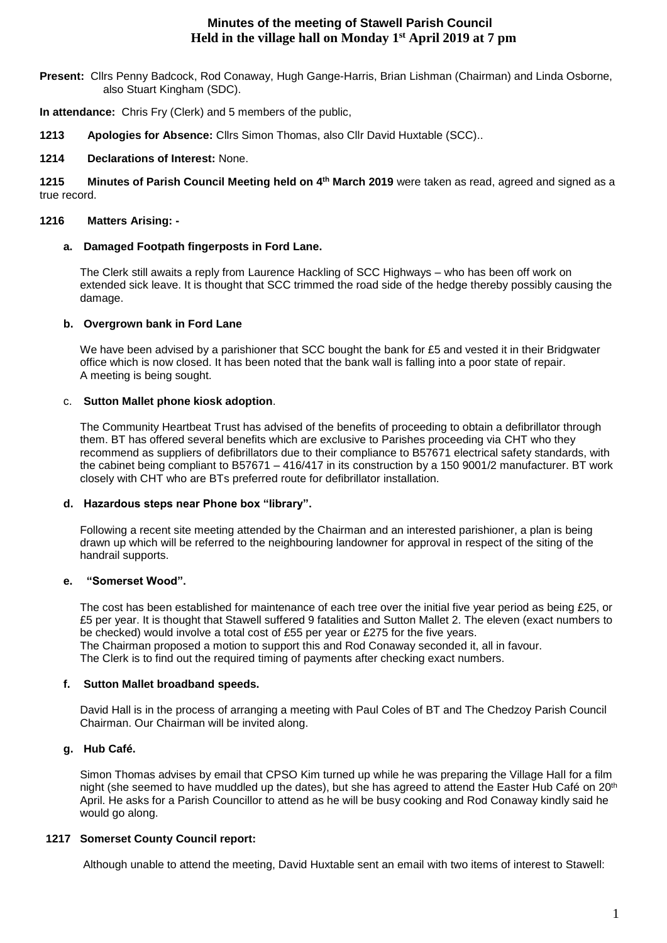# **Minutes of the meeting of Stawell Parish Council Held in the village hall on Monday 1st April 2019 at 7 pm**

**Present:** Cllrs Penny Badcock, Rod Conaway, Hugh Gange-Harris, Brian Lishman (Chairman) and Linda Osborne, also Stuart Kingham (SDC).

**In attendance:** Chris Fry (Clerk) and 5 members of the public,

**1213 Apologies for Absence:** Cllrs Simon Thomas, also Cllr David Huxtable (SCC)..

### **1214 Declarations of Interest:** None.

**1215 Minutes of Parish Council Meeting held on 4 th March 2019** were taken as read, agreed and signed as a true record.

### **1216 Matters Arising: -**

### **a. Damaged Footpath fingerposts in Ford Lane.**

The Clerk still awaits a reply from Laurence Hackling of SCC Highways – who has been off work on extended sick leave. It is thought that SCC trimmed the road side of the hedge thereby possibly causing the damage.

## **b. Overgrown bank in Ford Lane**

We have been advised by a parishioner that SCC bought the bank for £5 and vested it in their Bridgwater office which is now closed. It has been noted that the bank wall is falling into a poor state of repair. A meeting is being sought.

## c. **Sutton Mallet phone kiosk adoption**.

The Community Heartbeat Trust has advised of the benefits of proceeding to obtain a defibrillator through them. BT has offered several benefits which are exclusive to Parishes proceeding via CHT who they recommend as suppliers of defibrillators due to their compliance to B57671 electrical safety standards, with the cabinet being compliant to B57671 – 416/417 in its construction by a 150 9001/2 manufacturer. BT work closely with CHT who are BTs preferred route for defibrillator installation.

### **d. Hazardous steps near Phone box "library".**

Following a recent site meeting attended by the Chairman and an interested parishioner, a plan is being drawn up which will be referred to the neighbouring landowner for approval in respect of the siting of the handrail supports.

### **e. "Somerset Wood".**

The cost has been established for maintenance of each tree over the initial five year period as being £25, or £5 per year. It is thought that Stawell suffered 9 fatalities and Sutton Mallet 2. The eleven (exact numbers to be checked) would involve a total cost of £55 per year or £275 for the five years. The Chairman proposed a motion to support this and Rod Conaway seconded it, all in favour. The Clerk is to find out the required timing of payments after checking exact numbers.

### **f. Sutton Mallet broadband speeds.**

David Hall is in the process of arranging a meeting with Paul Coles of BT and The Chedzoy Parish Council Chairman. Our Chairman will be invited along.

# **g. Hub Café.**

Simon Thomas advises by email that CPSO Kim turned up while he was preparing the Village Hall for a film night (she seemed to have muddled up the dates), but she has agreed to attend the Easter Hub Café on 20<sup>th</sup> April. He asks for a Parish Councillor to attend as he will be busy cooking and Rod Conaway kindly said he would go along.

### **1217 Somerset County Council report:**

Although unable to attend the meeting, David Huxtable sent an email with two items of interest to Stawell: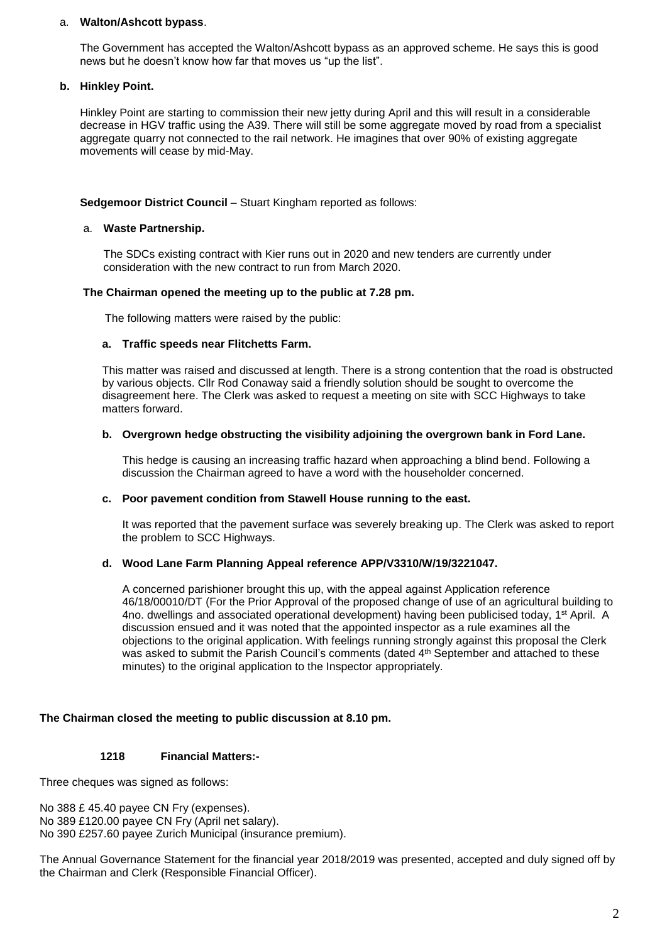### a. **Walton/Ashcott bypass**.

The Government has accepted the Walton/Ashcott bypass as an approved scheme. He says this is good news but he doesn't know how far that moves us "up the list".

### **b. Hinkley Point.**

Hinkley Point are starting to commission their new jetty during April and this will result in a considerable decrease in HGV traffic using the A39. There will still be some aggregate moved by road from a specialist aggregate quarry not connected to the rail network. He imagines that over 90% of existing aggregate movements will cease by mid-May.

### **Sedgemoor District Council – Stuart Kingham reported as follows:**

### a. **Waste Partnership.**

The SDCs existing contract with Kier runs out in 2020 and new tenders are currently under consideration with the new contract to run from March 2020.

#### **The Chairman opened the meeting up to the public at 7.28 pm.**

The following matters were raised by the public:

### **a. Traffic speeds near Flitchetts Farm.**

This matter was raised and discussed at length. There is a strong contention that the road is obstructed by various objects. Cllr Rod Conaway said a friendly solution should be sought to overcome the disagreement here. The Clerk was asked to request a meeting on site with SCC Highways to take matters forward.

### **b. Overgrown hedge obstructing the visibility adjoining the overgrown bank in Ford Lane.**

This hedge is causing an increasing traffic hazard when approaching a blind bend. Following a discussion the Chairman agreed to have a word with the householder concerned.

#### **c. Poor pavement condition from Stawell House running to the east.**

It was reported that the pavement surface was severely breaking up. The Clerk was asked to report the problem to SCC Highways.

### **d. Wood Lane Farm Planning Appeal reference APP/V3310/W/19/3221047.**

A concerned parishioner brought this up, with the appeal against Application reference 46/18/00010/DT (For the Prior Approval of the proposed change of use of an agricultural building to 4no. dwellings and associated operational development) having been publicised today, 1st April. A discussion ensued and it was noted that the appointed inspector as a rule examines all the objections to the original application. With feelings running strongly against this proposal the Clerk was asked to submit the Parish Council's comments (dated 4<sup>th</sup> September and attached to these minutes) to the original application to the Inspector appropriately.

# **The Chairman closed the meeting to public discussion at 8.10 pm.**

# **1218 Financial Matters:-**

Three cheques was signed as follows:

No 388 £ 45.40 payee CN Fry (expenses). No 389 £120.00 payee CN Fry (April net salary). No 390 £257.60 payee Zurich Municipal (insurance premium).

The Annual Governance Statement for the financial year 2018/2019 was presented, accepted and duly signed off by the Chairman and Clerk (Responsible Financial Officer).